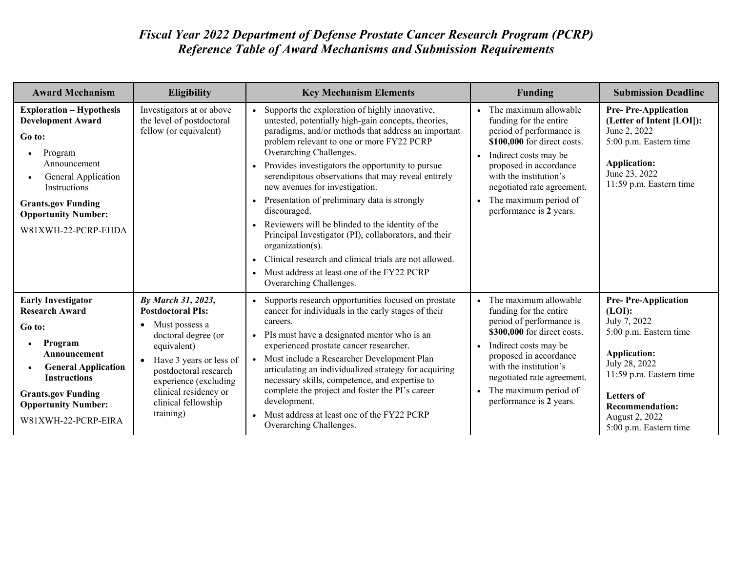## *Fiscal Year 2022 Department of Defense Prostate Cancer Research Program (PCRP) Reference Table of Award Mechanisms and Submission Requirements*

| <b>Award Mechanism</b>                                                                                                                                                                                                                        | Eligibility                                                                                                                                                                                                                                                                | <b>Key Mechanism Elements</b>                                                                                                                                                                                                                                                                                                                                                                                                                                                                                                                                                                                                                                                                                                                   | <b>Funding</b>                                                                                                                                                                                                                                                            | <b>Submission Deadline</b>                                                                                                                                                                                                                   |
|-----------------------------------------------------------------------------------------------------------------------------------------------------------------------------------------------------------------------------------------------|----------------------------------------------------------------------------------------------------------------------------------------------------------------------------------------------------------------------------------------------------------------------------|-------------------------------------------------------------------------------------------------------------------------------------------------------------------------------------------------------------------------------------------------------------------------------------------------------------------------------------------------------------------------------------------------------------------------------------------------------------------------------------------------------------------------------------------------------------------------------------------------------------------------------------------------------------------------------------------------------------------------------------------------|---------------------------------------------------------------------------------------------------------------------------------------------------------------------------------------------------------------------------------------------------------------------------|----------------------------------------------------------------------------------------------------------------------------------------------------------------------------------------------------------------------------------------------|
| <b>Exploration - Hypothesis</b><br><b>Development Award</b><br>Go to:<br>Program<br>$\bullet$<br>Announcement<br>General Application<br><b>Instructions</b><br><b>Grants.gov Funding</b><br><b>Opportunity Number:</b><br>W81XWH-22-PCRP-EHDA | Investigators at or above<br>the level of postdoctoral<br>fellow (or equivalent)                                                                                                                                                                                           | Supports the exploration of highly innovative,<br>$\bullet$<br>untested, potentially high-gain concepts, theories,<br>paradigms, and/or methods that address an important<br>problem relevant to one or more FY22 PCRP<br>Overarching Challenges.<br>Provides investigators the opportunity to pursue<br>serendipitous observations that may reveal entirely<br>new avenues for investigation.<br>Presentation of preliminary data is strongly<br>discouraged.<br>Reviewers will be blinded to the identity of the<br>Principal Investigator (PI), collaborators, and their<br>organization(s).<br>Clinical research and clinical trials are not allowed.<br>Must address at least one of the FY22 PCRP<br>$\bullet$<br>Overarching Challenges. | The maximum allowable<br>funding for the entire<br>period of performance is<br>\$100,000 for direct costs.<br>Indirect costs may be<br>proposed in accordance<br>with the institution's<br>negotiated rate agreement.<br>The maximum period of<br>performance is 2 years. | <b>Pre-Pre-Application</b><br>(Letter of Intent [LOI]):<br>June 2, 2022<br>5:00 p.m. Eastern time<br><b>Application:</b><br>June 23, 2022<br>11:59 p.m. Eastern time                                                                         |
| <b>Early Investigator</b><br><b>Research Award</b><br>Go to:<br>Program<br>Announcement<br><b>General Application</b><br><b>Instructions</b><br><b>Grants.gov Funding</b><br><b>Opportunity Number:</b><br>W81XWH-22-PCRP-EIRA                | By March 31, 2023,<br><b>Postdoctoral PIs:</b><br>Must possess a<br>$\bullet$<br>doctoral degree (or<br>equivalent)<br>Have 3 years or less of<br>$\bullet$<br>postdoctoral research<br>experience (excluding<br>clinical residency or<br>clinical fellowship<br>training) | Supports research opportunities focused on prostate<br>cancer for individuals in the early stages of their<br>careers.<br>PIs must have a designated mentor who is an<br>experienced prostate cancer researcher.<br>Must include a Researcher Development Plan<br>articulating an individualized strategy for acquiring<br>necessary skills, competence, and expertise to<br>complete the project and foster the PI's career<br>development.<br>Must address at least one of the FY22 PCRP<br>Overarching Challenges.                                                                                                                                                                                                                           | The maximum allowable<br>funding for the entire<br>period of performance is<br>\$300,000 for direct costs.<br>Indirect costs may be<br>proposed in accordance<br>with the institution's<br>negotiated rate agreement.<br>The maximum period of<br>performance is 2 years. | <b>Pre-Pre-Application</b><br>(LOI):<br>July 7, 2022<br>5:00 p.m. Eastern time<br><b>Application:</b><br>July 28, 2022<br>11:59 p.m. Eastern time<br><b>Letters of</b><br><b>Recommendation:</b><br>August 2, 2022<br>5:00 p.m. Eastern time |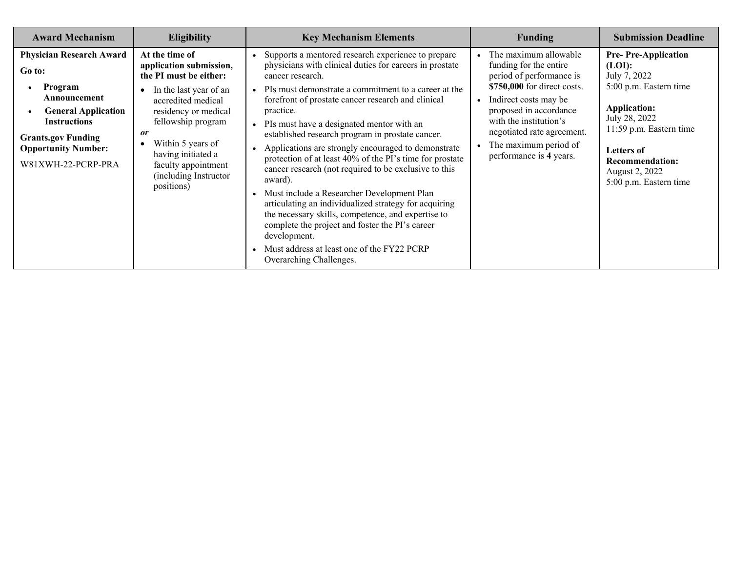| <b>Award Mechanism</b>                                                                                                                                                                                     | <b>Eligibility</b>                                                                                                                                                                                                                                                                                                 | <b>Key Mechanism Elements</b>                                                                                                                                                                                                                                                                                                                                                                                                                                                                                                                                                                                                                                                                                                                                                                                                                                                                        | <b>Funding</b>                                                                                                                                                                                                                                                                         | <b>Submission Deadline</b>                                                                                                                                                                                                            |
|------------------------------------------------------------------------------------------------------------------------------------------------------------------------------------------------------------|--------------------------------------------------------------------------------------------------------------------------------------------------------------------------------------------------------------------------------------------------------------------------------------------------------------------|------------------------------------------------------------------------------------------------------------------------------------------------------------------------------------------------------------------------------------------------------------------------------------------------------------------------------------------------------------------------------------------------------------------------------------------------------------------------------------------------------------------------------------------------------------------------------------------------------------------------------------------------------------------------------------------------------------------------------------------------------------------------------------------------------------------------------------------------------------------------------------------------------|----------------------------------------------------------------------------------------------------------------------------------------------------------------------------------------------------------------------------------------------------------------------------------------|---------------------------------------------------------------------------------------------------------------------------------------------------------------------------------------------------------------------------------------|
| <b>Physician Research Award</b><br>Go to:<br>Program<br>Announcement<br><b>General Application</b><br><b>Instructions</b><br><b>Grants.gov Funding</b><br><b>Opportunity Number:</b><br>W81XWH-22-PCRP-PRA | At the time of<br>application submission,<br>the PI must be either:<br>In the last year of an<br>$\bullet$<br>accredited medical<br>residency or medical<br>fellowship program<br><i>or</i><br>Within 5 years of<br>$\bullet$<br>having initiated a<br>faculty appointment<br>(including Instructor)<br>positions) | Supports a mentored research experience to prepare<br>physicians with clinical duties for careers in prostate<br>cancer research.<br>PIs must demonstrate a commitment to a career at the<br>$\bullet$<br>forefront of prostate cancer research and clinical<br>practice.<br>PIs must have a designated mentor with an<br>established research program in prostate cancer.<br>Applications are strongly encouraged to demonstrate<br>$\bullet$<br>protection of at least 40% of the PI's time for prostate<br>cancer research (not required to be exclusive to this<br>award).<br>Must include a Researcher Development Plan<br>articulating an individualized strategy for acquiring<br>the necessary skills, competence, and expertise to<br>complete the project and foster the PI's career<br>development.<br>Must address at least one of the FY22 PCRP<br>$\bullet$<br>Overarching Challenges. | The maximum allowable<br>funding for the entire<br>period of performance is<br>\$750,000 for direct costs.<br>Indirect costs may be<br>$\bullet$<br>proposed in accordance<br>with the institution's<br>negotiated rate agreement.<br>The maximum period of<br>performance is 4 years. | <b>Pre-Pre-Application</b><br>(LOI):<br>July 7, 2022<br>5:00 p.m. Eastern time<br><b>Application:</b><br>July 28, 2022<br>11:59 p.m. Eastern time<br>Letters of<br><b>Recommendation:</b><br>August 2, 2022<br>5:00 p.m. Eastern time |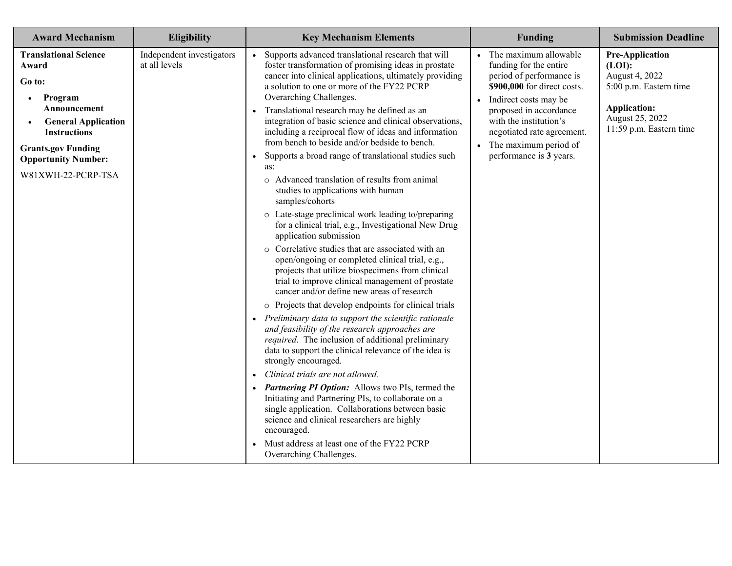| <b>Award Mechanism</b>                                                                                                                                                                                                                     | <b>Eligibility</b>                         | <b>Key Mechanism Elements</b>                                                                                                                                                                                                                                                                                                                                                                                                                                                                                                                                                                                                                                                                                                                                                                                                                                                                                                                                                                                                                                                                                                                                                                                                                                                                                                                                                                                                                                                                                                                                                                                                                                                                                                                              | <b>Funding</b>                                                                                                                                                                                                                                                                                        | <b>Submission Deadline</b>                                                                                                                        |
|--------------------------------------------------------------------------------------------------------------------------------------------------------------------------------------------------------------------------------------------|--------------------------------------------|------------------------------------------------------------------------------------------------------------------------------------------------------------------------------------------------------------------------------------------------------------------------------------------------------------------------------------------------------------------------------------------------------------------------------------------------------------------------------------------------------------------------------------------------------------------------------------------------------------------------------------------------------------------------------------------------------------------------------------------------------------------------------------------------------------------------------------------------------------------------------------------------------------------------------------------------------------------------------------------------------------------------------------------------------------------------------------------------------------------------------------------------------------------------------------------------------------------------------------------------------------------------------------------------------------------------------------------------------------------------------------------------------------------------------------------------------------------------------------------------------------------------------------------------------------------------------------------------------------------------------------------------------------------------------------------------------------------------------------------------------------|-------------------------------------------------------------------------------------------------------------------------------------------------------------------------------------------------------------------------------------------------------------------------------------------------------|---------------------------------------------------------------------------------------------------------------------------------------------------|
| <b>Translational Science</b><br>Award<br>Go to:<br>Program<br>$\bullet$<br>Announcement<br><b>General Application</b><br>$\bullet$<br><b>Instructions</b><br><b>Grants.gov Funding</b><br><b>Opportunity Number:</b><br>W81XWH-22-PCRP-TSA | Independent investigators<br>at all levels | Supports advanced translational research that will<br>$\bullet$<br>foster transformation of promising ideas in prostate<br>cancer into clinical applications, ultimately providing<br>a solution to one or more of the FY22 PCRP<br>Overarching Challenges.<br>Translational research may be defined as an<br>$\bullet$<br>integration of basic science and clinical observations,<br>including a reciprocal flow of ideas and information<br>from bench to beside and/or bedside to bench.<br>Supports a broad range of translational studies such<br>$\bullet$<br>as:<br>o Advanced translation of results from animal<br>studies to applications with human<br>samples/cohorts<br>o Late-stage preclinical work leading to/preparing<br>for a clinical trial, e.g., Investigational New Drug<br>application submission<br>o Correlative studies that are associated with an<br>open/ongoing or completed clinical trial, e.g.,<br>projects that utilize biospecimens from clinical<br>trial to improve clinical management of prostate<br>cancer and/or define new areas of research<br>o Projects that develop endpoints for clinical trials<br>• Preliminary data to support the scientific rationale<br>and feasibility of the research approaches are<br>required. The inclusion of additional preliminary<br>data to support the clinical relevance of the idea is<br>strongly encouraged.<br>Clinical trials are not allowed.<br>$\bullet$<br>• Partnering PI Option: Allows two PIs, termed the<br>Initiating and Partnering PIs, to collaborate on a<br>single application. Collaborations between basic<br>science and clinical researchers are highly<br>encouraged.<br>Must address at least one of the FY22 PCRP<br>Overarching Challenges. | The maximum allowable<br>$\bullet$<br>funding for the entire<br>period of performance is<br>\$900,000 for direct costs.<br>Indirect costs may be<br>$\bullet$<br>proposed in accordance<br>with the institution's<br>negotiated rate agreement.<br>• The maximum period of<br>performance is 3 years. | <b>Pre-Application</b><br>(LOI):<br>August 4, 2022<br>5:00 p.m. Eastern time<br><b>Application:</b><br>August 25, 2022<br>11:59 p.m. Eastern time |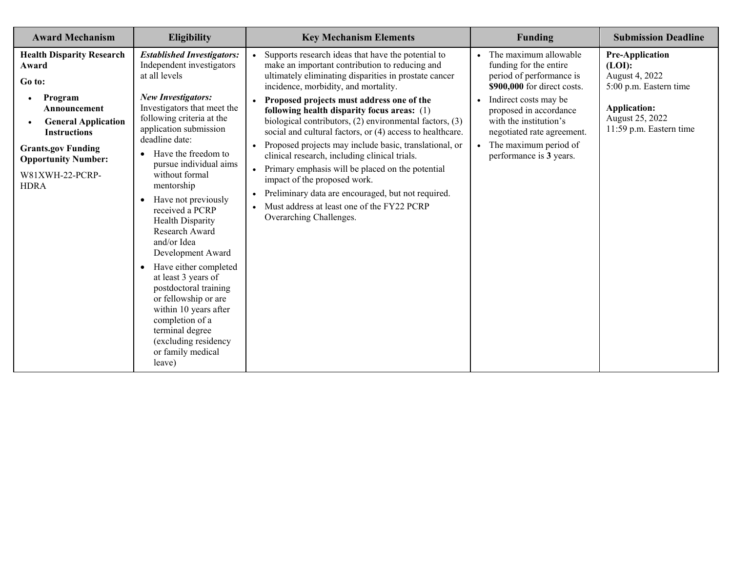| <b>Award Mechanism</b>                                                                                                                                                                                                                        | <b>Eligibility</b>                                                                                                                                                                                                                                                                                                                                                                                                                                                                                                                                                                                                                                                                      | <b>Key Mechanism Elements</b>                                                                                                                                                                                                                                                                                                                                                                                                                                                                                                                                                                                                                                                                                                                           | <b>Funding</b>                                                                                                                                                                                                                                                                         | <b>Submission Deadline</b>                                                                                                                        |
|-----------------------------------------------------------------------------------------------------------------------------------------------------------------------------------------------------------------------------------------------|-----------------------------------------------------------------------------------------------------------------------------------------------------------------------------------------------------------------------------------------------------------------------------------------------------------------------------------------------------------------------------------------------------------------------------------------------------------------------------------------------------------------------------------------------------------------------------------------------------------------------------------------------------------------------------------------|---------------------------------------------------------------------------------------------------------------------------------------------------------------------------------------------------------------------------------------------------------------------------------------------------------------------------------------------------------------------------------------------------------------------------------------------------------------------------------------------------------------------------------------------------------------------------------------------------------------------------------------------------------------------------------------------------------------------------------------------------------|----------------------------------------------------------------------------------------------------------------------------------------------------------------------------------------------------------------------------------------------------------------------------------------|---------------------------------------------------------------------------------------------------------------------------------------------------|
| <b>Health Disparity Research</b><br>Award<br>Go to:<br>Program<br>$\bullet$<br>Announcement<br><b>General Application</b><br><b>Instructions</b><br><b>Grants.gov Funding</b><br><b>Opportunity Number:</b><br>W81XWH-22-PCRP-<br><b>HDRA</b> | <b>Established Investigators:</b><br>Independent investigators<br>at all levels<br><b>New Investigators:</b><br>Investigators that meet the<br>following criteria at the<br>application submission<br>deadline date:<br>Have the freedom to<br>$\bullet$<br>pursue individual aims<br>without formal<br>mentorship<br>Have not previously<br>$\bullet$<br>received a PCRP<br>Health Disparity<br>Research Award<br>and/or Idea<br>Development Award<br>Have either completed<br>$\bullet$<br>at least 3 years of<br>postdoctoral training<br>or fellowship or are<br>within 10 years after<br>completion of a<br>terminal degree<br>(excluding residency<br>or family medical<br>leave) | Supports research ideas that have the potential to<br>make an important contribution to reducing and<br>ultimately eliminating disparities in prostate cancer<br>incidence, morbidity, and mortality.<br>Proposed projects must address one of the<br>following health disparity focus areas: (1)<br>biological contributors, (2) environmental factors, (3)<br>social and cultural factors, or (4) access to healthcare.<br>Proposed projects may include basic, translational, or<br>clinical research, including clinical trials.<br>Primary emphasis will be placed on the potential<br>impact of the proposed work.<br>Preliminary data are encouraged, but not required.<br>Must address at least one of the FY22 PCRP<br>Overarching Challenges. | The maximum allowable<br>funding for the entire<br>period of performance is<br>\$900,000 for direct costs.<br>Indirect costs may be<br>proposed in accordance<br>with the institution's<br>negotiated rate agreement.<br>The maximum period of<br>$\bullet$<br>performance is 3 years. | <b>Pre-Application</b><br>(LOI):<br>August 4, 2022<br>5:00 p.m. Eastern time<br><b>Application:</b><br>August 25, 2022<br>11:59 p.m. Eastern time |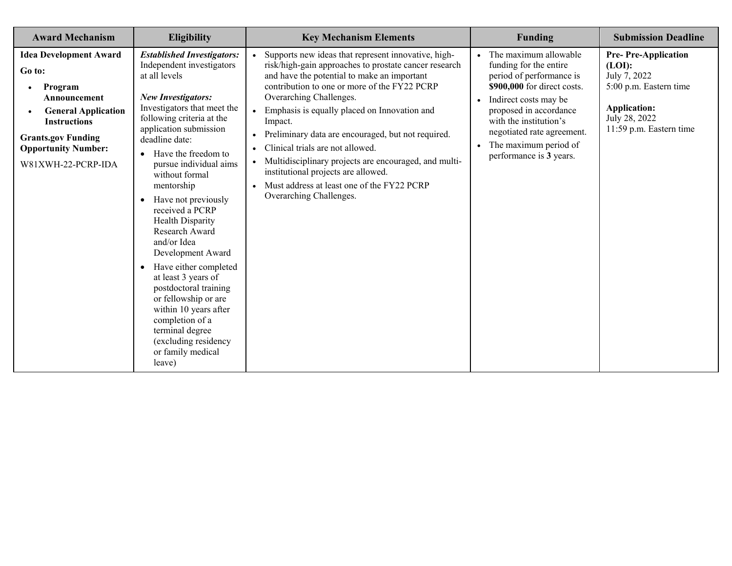| <b>Award Mechanism</b>                                                                                                                                                                                        | Eligibility                                                                                                                                                                                                                                                                                                                                                                                                                                                                                                                                                                                                                                                                             | <b>Key Mechanism Elements</b>                                                                                                                                                                                                                                                                                                                                                                                                                                                                                                                                                                               | <b>Funding</b>                                                                                                                                                                                                                                                            | <b>Submission Deadline</b>                                                                                                                        |
|---------------------------------------------------------------------------------------------------------------------------------------------------------------------------------------------------------------|-----------------------------------------------------------------------------------------------------------------------------------------------------------------------------------------------------------------------------------------------------------------------------------------------------------------------------------------------------------------------------------------------------------------------------------------------------------------------------------------------------------------------------------------------------------------------------------------------------------------------------------------------------------------------------------------|-------------------------------------------------------------------------------------------------------------------------------------------------------------------------------------------------------------------------------------------------------------------------------------------------------------------------------------------------------------------------------------------------------------------------------------------------------------------------------------------------------------------------------------------------------------------------------------------------------------|---------------------------------------------------------------------------------------------------------------------------------------------------------------------------------------------------------------------------------------------------------------------------|---------------------------------------------------------------------------------------------------------------------------------------------------|
| <b>Idea Development Award</b><br>Go to:<br>Program<br>٠<br>Announcement<br><b>General Application</b><br><b>Instructions</b><br><b>Grants.gov Funding</b><br><b>Opportunity Number:</b><br>W81XWH-22-PCRP-IDA | <b>Established Investigators:</b><br>Independent investigators<br>at all levels<br><b>New Investigators:</b><br>Investigators that meet the<br>following criteria at the<br>application submission<br>deadline date:<br>Have the freedom to<br>$\bullet$<br>pursue individual aims<br>without formal<br>mentorship<br>Have not previously<br>$\bullet$<br>received a PCRP<br>Health Disparity<br>Research Award<br>and/or Idea<br>Development Award<br>Have either completed<br>$\bullet$<br>at least 3 years of<br>postdoctoral training<br>or fellowship or are<br>within 10 years after<br>completion of a<br>terminal degree<br>(excluding residency<br>or family medical<br>leave) | Supports new ideas that represent innovative, high-<br>risk/high-gain approaches to prostate cancer research<br>and have the potential to make an important<br>contribution to one or more of the FY22 PCRP<br>Overarching Challenges.<br>Emphasis is equally placed on Innovation and<br>$\bullet$<br>Impact.<br>Preliminary data are encouraged, but not required.<br>Clinical trials are not allowed.<br>$\bullet$<br>Multidisciplinary projects are encouraged, and multi-<br>institutional projects are allowed.<br>Must address at least one of the FY22 PCRP<br>$\bullet$<br>Overarching Challenges. | The maximum allowable<br>funding for the entire<br>period of performance is<br>\$900,000 for direct costs.<br>Indirect costs may be<br>proposed in accordance<br>with the institution's<br>negotiated rate agreement.<br>The maximum period of<br>performance is 3 years. | <b>Pre-Pre-Application</b><br>(LOI):<br>July 7, 2022<br>5:00 p.m. Eastern time<br><b>Application:</b><br>July 28, 2022<br>11:59 p.m. Eastern time |